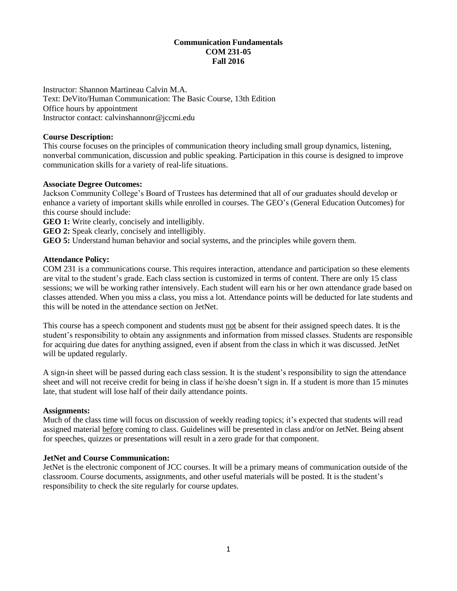## **Communication Fundamentals COM 231-05 Fall 2016**

Instructor: Shannon Martineau Calvin M.A. Text: DeVito/Human Communication: The Basic Course, 13th Edition Office hours by appointment Instructor contact: calvinshannonr@jccmi.edu

#### **Course Description:**

This course focuses on the principles of communication theory including small group dynamics, listening, nonverbal communication, discussion and public speaking. Participation in this course is designed to improve communication skills for a variety of real-life situations.

#### **Associate Degree Outcomes:**

Jackson Community College's Board of Trustees has determined that all of our graduates should develop or enhance a variety of important skills while enrolled in courses. The GEO's (General Education Outcomes) for this course should include:

**GEO 1:** Write clearly, concisely and intelligibly.

**GEO 2:** Speak clearly, concisely and intelligibly.

**GEO 5:** Understand human behavior and social systems, and the principles while govern them.

## **Attendance Policy:**

COM 231 is a communications course. This requires interaction, attendance and participation so these elements are vital to the student's grade. Each class section is customized in terms of content. There are only 15 class sessions; we will be working rather intensively. Each student will earn his or her own attendance grade based on classes attended. When you miss a class, you miss a lot. Attendance points will be deducted for late students and this will be noted in the attendance section on JetNet.

This course has a speech component and students must not be absent for their assigned speech dates. It is the student's responsibility to obtain any assignments and information from missed classes. Students are responsible for acquiring due dates for anything assigned, even if absent from the class in which it was discussed. JetNet will be updated regularly.

A sign-in sheet will be passed during each class session. It is the student's responsibility to sign the attendance sheet and will not receive credit for being in class if he/she doesn't sign in. If a student is more than 15 minutes late, that student will lose half of their daily attendance points.

#### **Assignments:**

Much of the class time will focus on discussion of weekly reading topics; it's expected that students will read assigned material before coming to class. Guidelines will be presented in class and/or on JetNet. Being absent for speeches, quizzes or presentations will result in a zero grade for that component.

## **JetNet and Course Communication:**

JetNet is the electronic component of JCC courses. It will be a primary means of communication outside of the classroom. Course documents, assignments, and other useful materials will be posted. It is the student's responsibility to check the site regularly for course updates.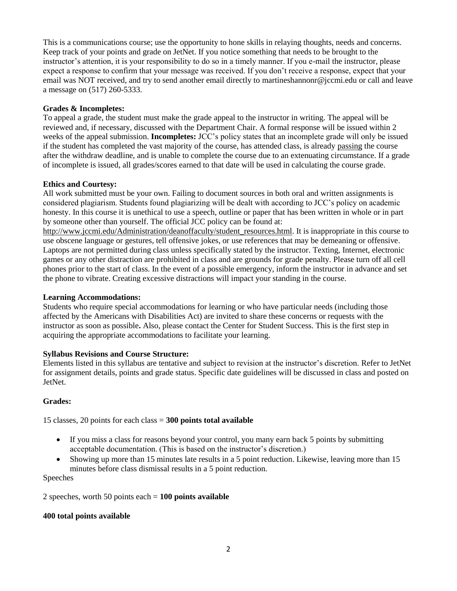This is a communications course; use the opportunity to hone skills in relaying thoughts, needs and concerns. Keep track of your points and grade on JetNet. If you notice something that needs to be brought to the instructor's attention, it is your responsibility to do so in a timely manner. If you e-mail the instructor, please expect a response to confirm that your message was received. If you don't receive a response, expect that your email was NOT received, and try to send another email directly to [martineshannonr@jccmi.edu](mailto:martineshannonr@jccmi.edu) or call and leave a message on (517) 260-5333.

## **Grades & Incompletes:**

To appeal a grade, the student must make the grade appeal to the instructor in writing. The appeal will be reviewed and, if necessary, discussed with the Department Chair. A formal response will be issued within 2 weeks of the appeal submission. **Incompletes:** JCC's policy states that an incomplete grade will only be issued if the student has completed the vast majority of the course, has attended class, is already passing the course after the withdraw deadline, and is unable to complete the course due to an extenuating circumstance. If a grade of incomplete is issued, all grades/scores earned to that date will be used in calculating the course grade.

## **Ethics and Courtesy:**

All work submitted must be your own. Failing to document sources in both oral and written assignments is considered plagiarism. Students found plagiarizing will be dealt with according to JCC's policy on academic honesty. In this course it is unethical to use a speech, outline or paper that has been written in whole or in part by someone other than yourself. The official JCC policy can be found at:

[http://www.jccmi.edu/Administration/deanoffaculty/student\\_resources.html.](http://www.jccmi.edu/Administration/deanoffaculty/student_resources.html) It is inappropriate in this course to use obscene language or gestures, tell offensive jokes, or use references that may be demeaning or offensive. Laptops are not permitted during class unless specifically stated by the instructor. Texting, Internet, electronic games or any other distraction are prohibited in class and are grounds for grade penalty. Please turn off all cell phones prior to the start of class. In the event of a possible emergency, inform the instructor in advance and set the phone to vibrate. Creating excessive distractions will impact your standing in the course.

## **Learning Accommodations:**

Students who require special accommodations for learning or who have particular needs (including those affected by the Americans with Disabilities Act) are invited to share these concerns or requests with the instructor as soon as possible**.** Also, please contact the Center for Student Success. This is the first step in acquiring the appropriate accommodations to facilitate your learning.

# **Syllabus Revisions and Course Structure:**

Elements listed in this syllabus are tentative and subject to revision at the instructor's discretion. Refer to JetNet for assignment details, points and grade status. Specific date guidelines will be discussed in class and posted on JetNet.

## **Grades:**

15 classes, 20 points for each class = **300 points total available**

- If you miss a class for reasons beyond your control, you many earn back 5 points by submitting acceptable documentation. (This is based on the instructor's discretion.)
- Showing up more than 15 minutes late results in a 5 point reduction. Likewise, leaving more than 15 minutes before class dismissal results in a 5 point reduction.

## Speeches

2 speeches, worth 50 points each = **100 points available**

## **400 total points available**